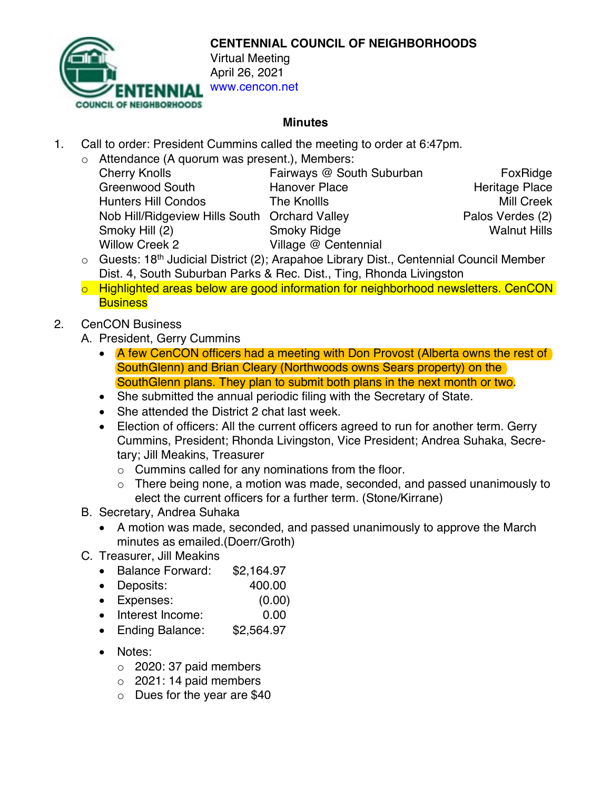

**CENTENNIAL COUNCIL OF NEIGHBORHOODS**

www.cencon.net

## **Minutes**

- 1. Call to order: President Cummins called the meeting to order at 6:47pm.
	- o Attendance (A quorum was present.), Members:

| <b>Cherry Knolls</b>                          | Fairways @ South Suburban | FoxRidge              |
|-----------------------------------------------|---------------------------|-----------------------|
| <b>Greenwood South</b>                        | <b>Hanover Place</b>      | <b>Heritage Place</b> |
| <b>Hunters Hill Condos</b>                    | The Knollls               | <b>Mill Creek</b>     |
| Nob Hill/Ridgeview Hills South Orchard Valley |                           | Palos Verdes (2)      |
| Smoky Hill (2)                                | <b>Smoky Ridge</b>        | <b>Walnut Hills</b>   |
| <b>Willow Creek 2</b>                         | Village @ Centennial      |                       |

- $\circ$  Guests: 18<sup>th</sup> Judicial District (2); Arapahoe Library Dist., Centennial Council Member Dist. 4, South Suburban Parks & Rec. Dist., Ting, Rhonda Livingston
- o Highlighted areas below are good information for neighborhood newsletters. CenCON **Business**

## 2. CenCON Business

- A. President, Gerry Cummins
	- A few CenCON officers had a meeting with Don Provost (Alberta owns the rest of SouthGlenn) and Brian Cleary (Northwoods owns Sears property) on the SouthGlenn plans. They plan to submit both plans in the next month or two.
	- She submitted the annual periodic filing with the Secretary of State.
	- She attended the District 2 chat last week.
	- Election of officers: All the current officers agreed to run for another term. Gerry Cummins, President; Rhonda Livingston, Vice President; Andrea Suhaka, Secretary; Jill Meakins, Treasurer
		- o Cummins called for any nominations from the floor.
		- o There being none, a motion was made, seconded, and passed unanimously to elect the current officers for a further term. (Stone/Kirrane)
- B. Secretary, Andrea Suhaka
	- A motion was made, seconded, and passed unanimously to approve the March minutes as emailed.(Doerr/Groth)
- C. Treasurer, Jill Meakins
	- Balance Forward: \$2,164.97
	- Deposits: 400.00
	- Expenses: (0.00)
	- Interest Income: 0.00
	- Ending Balance: \$2,564.97
	- Notes:
		- $\circ$  2020: 37 paid members
		- $\circ$  2021: 14 paid members
		- o Dues for the year are \$40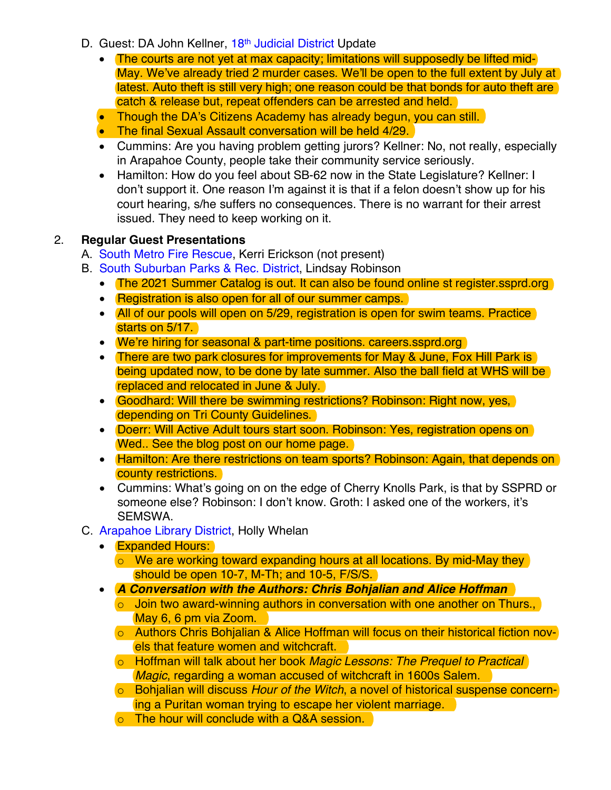- D. Guest: DA John Kellner, 18<sup>th</sup> [Judicial District](https://www.courts.state.co.us/Courts/District/Index.cfm?District_ID=18) Update
	- The courts are not yet at max capacity; limitations will supposedly be lifted mid-May. We've already tried 2 murder cases. We'll be open to the full extent by July at latest. Auto theft is still very high; one reason could be that bonds for auto theft are catch & release but, repeat offenders can be arrested and held.
	- Though the DA's [Citizens Academy](https://www.da18.org/community-outreach/citizens-academy/) has already begun, you can still.
	- The final [Sexual Assault](https://docs.google.com/forms/d/e/1FAIpQLSd6_2G3c_BYaktw7ZyxKA7dGUuTJQMsVflpk5aVitB5DwxNlA/viewform) conversation will be held 4/29.
	- Cummins: Are you having problem getting jurors? Kellner: No, not really, especially in Arapahoe County, people take their community service seriously.
	- Hamilton: How do you feel about SB-62 now in the State Legislature? Kellner: I don't support it. One reason I'm against it is that if a felon doesn't show up for his court hearing, s/he suffers no consequences. There is no warrant for their arrest issued. They need to keep working on it.

## 2. **Regular Guest Presentations**

- A. [South Metro Fire Rescue](http://www.southmetro.org/), Kerri Erickson (not present)
- B. [South Suburban Parks & Rec. District,](https://www.ssprd.org/) Lindsay Robinson
	- The 2021 Summer Catalog is out. It can also be found online st register ssprd.org
	- Registration is also open for all of our summer camps.
	- All of our pools will open on 5/29, registration is open for swim teams. Practice starts on 5/17.
	- We're hiring for seasonal & part-time positions. [careers.ssprd.org](https://www.careers.ssprd.org/)
	- There are two park closures for improvements for May & June, Fox Hill Park is being updated now, to be done by late summer. Also the ball field at WHS will be replaced and relocated in June & July.
	- Goodhard: Will there be swimming restrictions? Robinson: Right now, yes, depending on Tri County Guidelines.
	- Doerr: Will Active Adult tours start soon. Robinson: Yes, registration opens on Wed.. See the blog post on our home page.
	- Hamilton: Are there restrictions on team sports? Robinson: Again, that depends on county restrictions.
	- Cummins: What's going on on the edge of Cherry Knolls Park, is that by SSPRD or someone else? Robinson: I don't know. Groth: I asked one of the workers, it's SEMSWA.
- C. [Arapahoe Library District,](https://arapahoelibraries.org/) Holly Whelan
	- **Expanded Hours:** 
		- o We are working toward expanding hours at all locations. By mid-May they should be open 10-7, M-Th; and 10-5, F/S/S.
	- *A Conversation with the Authors: Chris Bohjalian and Alice Hoffman*  $\circ$  Join two award-winning authors in conversation with one another on Thurs., May 6, 6 pm via Zoom.
		- o Authors Chris Bohjalian & Alice Hoffman will focus on their historical fiction novels that feature women and witchcraft.
		- o Hoffman will talk about her book *Magic Lessons: The Prequel to Practical Magic*, regarding a woman accused of witchcraft in 1600s Salem.
		- o Bohjalian will discuss *Hour of the Witch*, a novel of historical suspense concerning a Puritan woman trying to escape her violent marriage.
		- o The hour will conclude with a Q&A session.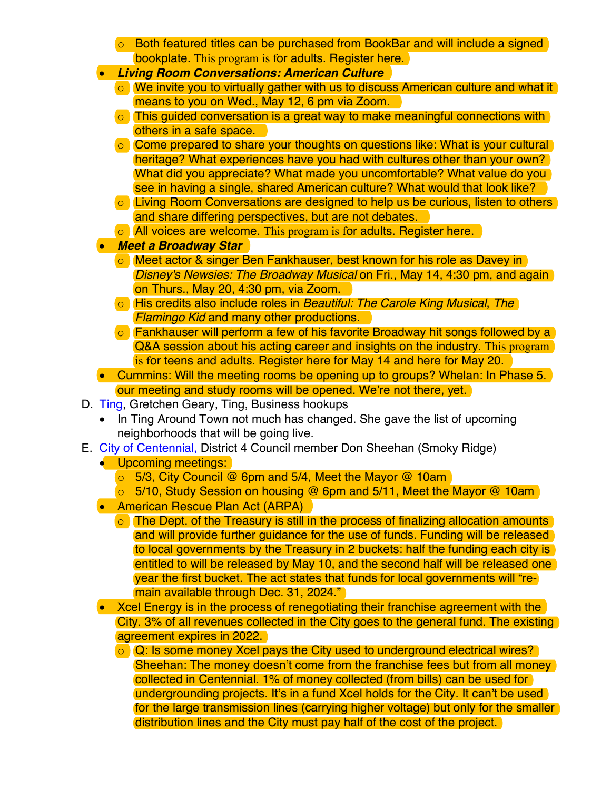- o Both featured titles can be purchased from BookBar and will include a signed bookplate. This program is for adults. Register [here.](https://arapahoelibraries.bibliocommons.com/events/search/local_start=2021-05-06_TO/event/6067a6446fb99b2e009768c0)
- *Living Room Conversations: American Culture*
	- o We invite you to virtually gather with us to discuss American culture and what it means to you on Wed., May 12, 6 pm via Zoom.
	- $\circ$  This quided conversation is a great way to make meaningful connections with others in a safe space.
	- o Come prepared to share your thoughts on questions like: What is your cultural heritage? What experiences have you had with cultures other than your own? What did you appreciate? What made you uncomfortable? What value do you see in having a single, shared American culture? What would that look like?
	- o Living Room Conversations are designed to help us be curious, listen to others and share differing perspectives, but are not debates.
	- o All voices are welcome. This program is for adults. Register [here.](https://arapahoelibraries.bibliocommons.com/events/search/local_start=2021-05-12_TO/event/6065f8888bba992f00c28ae7)
- *Meet a Broadway Star*
	- o Meet actor & singer Ben Fankhauser, best known for his role as Davey in *Disney's Newsies: The Broadway Musical* on Fri., May 14, 4:30 pm, and again on Thurs., May 20, 4:30 pm, via Zoom.
	- o His credits also include roles in *Beautiful: The Carole King Musical*, *The Flamingo Kid* and many other productions.
	- o Fankhauser will perform a few of his favorite Broadway hit songs followed by a Q&A session about his acting career and insights on the industry. This program is for teens and adults. Register [here](https://arapahoelibraries.bibliocommons.com/events/6065f88b8bba992f00c28ae9) for May 14 and [here](https://arapahoelibraries.bibliocommons.com/events/search/local_start=2021-05-20_TO/event/6065f897d2cb5a4500d3033f) for May 20.
- Cummins: Will the meeting rooms be opening up to groups? Whelan: In Phase 5. our meeting and study rooms will be opened. We're not there, yet.
- D. [Ting,](https://ting.com/) Gretchen Geary, Ting, Business hookups
	- In Ting Around Town not much has changed. She gave the list of upcoming neighborhoods that will be going live.
- E. [City of Centennial,](https://www.centennialco.gov/Home) District 4 Council member Don Sheehan (Smoky Ridge)
	- Upcoming meetings:
		- o 5/3, City Council @ 6pm and 5/4, Meet the Mayor @ 10am
		- o 5/10, Study Session on housing @ 6pm and 5/11, Meet the Mayor @ 10am
	- American Rescue Plan Act (ARPA)
		- o The Dept. of the Treasury is still in the process of finalizing allocation amounts and will provide further guidance for the use of funds. Funding will be released to local governments by the Treasury in 2 buckets: half the funding each city is entitled to will be released by May 10, and the second half will be released one year the first bucket. The act states that funds for local governments will "remain available through Dec. 31, 2024."
	- Xcel Energy is in the process of renegotiating their franchise agreement with the City. 3% of all revenues collected in the City goes to the general fund. The existing agreement expires in 2022.
		- o Q: Is some money Xcel pays the City used to underground electrical wires? Sheehan: The money doesn't come from the franchise fees but from all money collected in Centennial. 1% of money collected (from bills) can be used for undergrounding projects. It's in a fund Xcel holds for the City. It can't be used for the large transmission lines (carrying higher voltage) but only for the smaller distribution lines and the City must pay half of the cost of the project.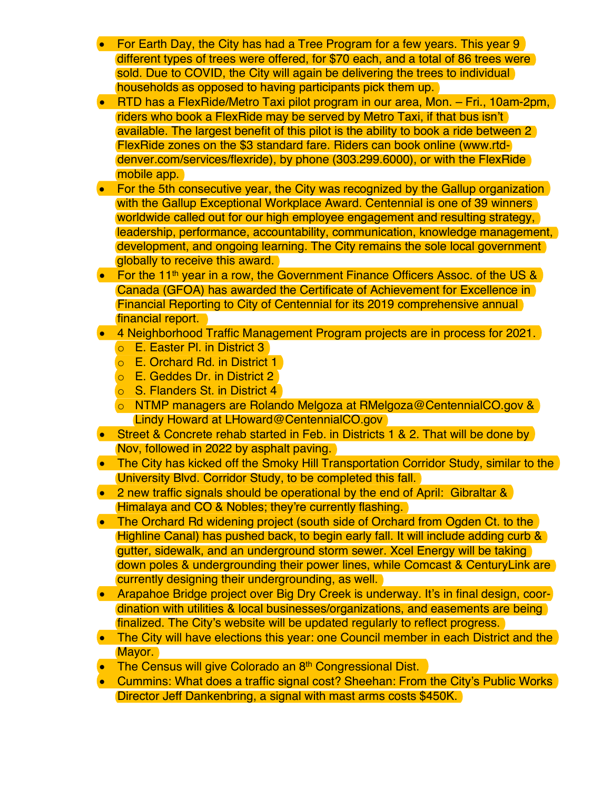- For Earth Day, the City has had a Tree Program for a few years. This year 9 different types of trees were offered, for \$70 each, and a total of 86 trees were sold. Due to COVID, the City will again be delivering the trees to individual households as opposed to having participants pick them up.
- RTD has a FlexRide/Metro Taxi pilot program in our area, Mon. Fri., 10am-2pm, riders who book a FlexRide may be served by Metro Taxi, if that bus isn't available. The largest benefit of this pilot is the ability to book a ride between 2 FlexRide zones on the \$3 standard fare. Riders can book online [\(www.rtd](https://www.rtd-denver.com/services/flexride)[denver.com/services/flexride\)](https://www.rtd-denver.com/services/flexride), by phone (303.299.6000), or with the FlexRide mobile app.
- For the 5th consecutive year, the City was recognized by the Gallup organization with the Gallup Exceptional Workplace Award. Centennial is one of 39 winners worldwide called out for our high employee engagement and resulting strategy, leadership, performance, accountability, communication, knowledge management, development, and ongoing learning. The City remains the sole local government globally to receive this award.
- For the 11<sup>th</sup> year in a row, the Government Finance Officers Assoc, of the US  $\&$ Canada (GFOA) has awarded the Certificate of Achievement for Excellence in Financial Reporting to City of Centennial for its 2019 comprehensive annual financial report.
- 4 Neighborhood Traffic Management Program projects are in process for 2021.
	- o E. Easter Pl. in District 3
	- o E. Orchard Rd. in District 1
	- o E. Geddes Dr. in District 2
	- o S. Flanders St. in District 4
	- o NTMP managers are Rolando Melgoza at [RMelgoza@CentennialCO.gov](mailto:RMelgoza@CentennialCO.gov) & Lindy Howard at [LHoward@CentennialCO.gov](mailto:LHoward@CentennialCO.gov)
- Street & Concrete rehab started in Feb. in Districts 1 & 2. That will be done by Nov, followed in 2022 by asphalt paving.
- The City has kicked off the Smoky Hill Transportation Corridor Study, similar to the University Blvd. Corridor Study, to be completed this fall.
- 2 new traffic signals should be operational by the end of April: Gibraltar & Himalaya and CO & Nobles; they're currently flashing.
- The Orchard Rd widening project (south side of Orchard from Ogden Ct. to the Highline Canal) has pushed back, to begin early fall. It will include adding curb & gutter, sidewalk, and an underground storm sewer. Xcel Energy will be taking down poles & undergrounding their power lines, while Comcast & CenturyLink are currently designing their undergrounding, as well.
- Arapahoe Bridge project over Big Dry Creek is underway. It's in final design, coordination with utilities & local businesses/organizations, and easements are being finalized. The City's [website](https://www.centennialco.gov/Government/Departments/Public-Works/Roadway-Projects/City-Led-Roadway-Projects#section-1) will be updated regularly to reflect progress.
- The City will have elections this year: one Council member in each District and the Mayor.
- The Census will give Colorado an 8<sup>th</sup> Congressional Dist.
- Cummins: What does a traffic signal cost? Sheehan: From the City's Public Works Director Jeff Dankenbring, a signal with mast arms costs \$450K.